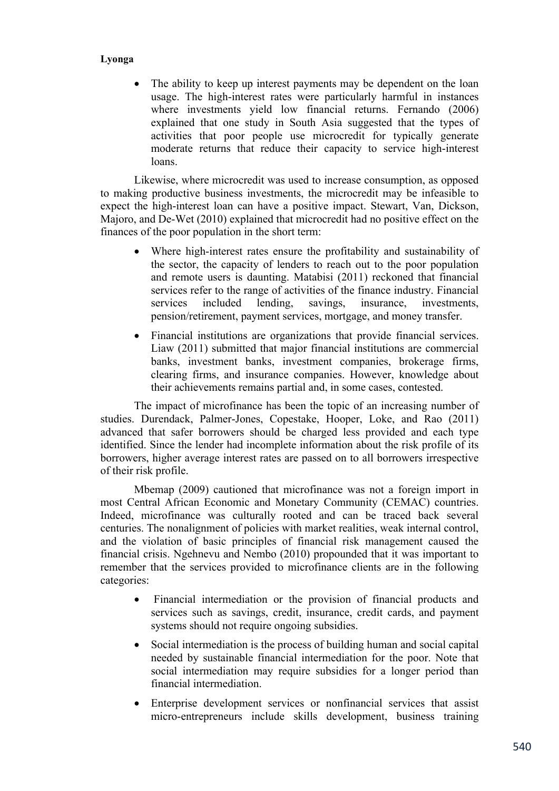The ability to keep up interest payments may be dependent on the loan usage. The high-interest rates were particularly harmful in instances where investments yield low financial returns. Fernando (2006) explained that one study in South Asia suggested that the types of activities that poor people use microcredit for typically generate moderate returns that reduce their capacity to service high-interest loans.

Likewise, where microcredit was used to increase consumption, as opposed to making productive business investments, the microcredit may be infeasible to expect the high-interest loan can have a positive impact. Stewart, Van, Dickson, Majoro, and De-Wet (2010) explained that microcredit had no positive effect on the finances of the poor population in the short term:

- Where high-interest rates ensure the profitability and sustainability of the sector, the capacity of lenders to reach out to the poor population and remote users is daunting. Matabisi (2011) reckoned that financial services refer to the range of activities of the finance industry. Financial services included lending, savings, insurance, investments, pension/retirement, payment services, mortgage, and money transfer.
- Financial institutions are organizations that provide financial services. Liaw (2011) submitted that major financial institutions are commercial banks, investment banks, investment companies, brokerage firms, clearing firms, and insurance companies. However, knowledge about their achievements remains partial and, in some cases, contested.

The impact of microfinance has been the topic of an increasing number of studies. Durendack, Palmer-Jones, Copestake, Hooper, Loke, and Rao (2011) advanced that safer borrowers should be charged less provided and each type identified. Since the lender had incomplete information about the risk profile of its borrowers, higher average interest rates are passed on to all borrowers irrespective of their risk profile.

Mbemap (2009) cautioned that microfinance was not a foreign import in most Central African Economic and Monetary Community (CEMAC) countries. Indeed, microfinance was culturally rooted and can be traced back several centuries. The nonalignment of policies with market realities, weak internal control, and the violation of basic principles of financial risk management caused the financial crisis. Ngehnevu and Nembo (2010) propounded that it was important to remember that the services provided to microfinance clients are in the following categories:

- Financial intermediation or the provision of financial products and services such as savings, credit, insurance, credit cards, and payment systems should not require ongoing subsidies.
- Social intermediation is the process of building human and social capital needed by sustainable financial intermediation for the poor. Note that social intermediation may require subsidies for a longer period than financial intermediation.
- Enterprise development services or nonfinancial services that assist micro-entrepreneurs include skills development, business training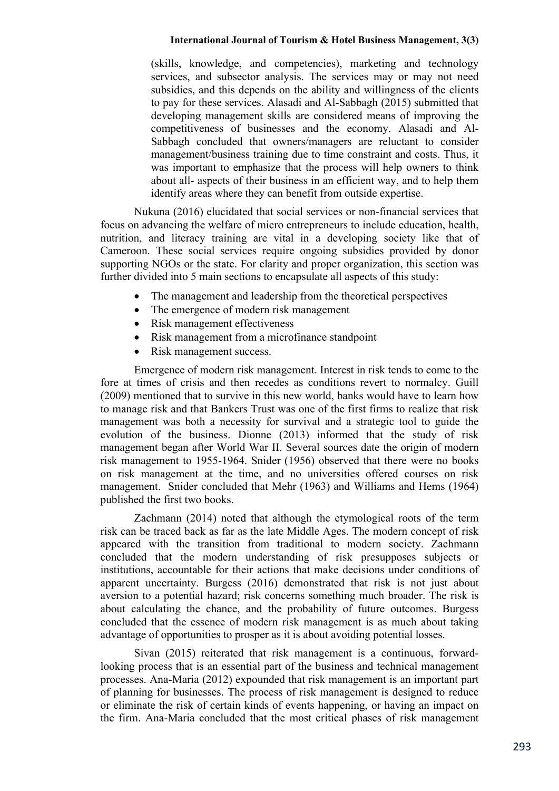(skills, knowledge, and competencies), marketing and technology services, and subsector analysis. The services may or may not need subsidies, and this depends on the ability and willingness of the clients to pay for these services. Alasadi and Al-Sabbagh (2015) submitted that developing management skills are considered means of improving the competitiveness of businesses and the economy. Alasadi and Al-Sabbagh concluded that owners/managers are reluctant to consider management/business training due to time constraint and costs. Thus, it was important to emphasize that the process will help owners to think about all- aspects of their business in an efficient way, and to help them identify areas where they can benefit from outside expertise.

Nukuna (2016) elucidated that social services or non-financial services that focus on advancing the welfare of micro entrepreneurs to include education, health, nutrition, and literacy training are vital in a developing society like that of Cameroon. These social services require ongoing subsidies provided by donor supporting NGOs or the state. For clarity and proper organization, this section was further divided into 5 main sections to encapsulate all aspects of this study:

- The management and leadership from the theoretical perspectives
- The emergence of modern risk management
- Risk management effectiveness
- Risk management from a microfinance standpoint
- Risk management success.

Emergence of modern risk management. Interest in risk tends to come to the fore at times of crisis and then recedes as conditions revert to normalcy. Guill (2009) mentioned that to survive in this new world, banks would have to learn how to manage risk and that Bankers Trust was one of the first firms to realize that risk management was both a necessity for survival and a strategic tool to guide the evolution of the business. Dionne (2013) informed that the study of risk management began after World War II. Several sources date the origin of modern risk management to 1955-1964. Snider (1956) observed that there were no books on risk management at the time, and no universities offered courses on risk management. Snider concluded that Mehr (1963) and Williams and Hems (1964) published the first two books.

Zachmann (2014) noted that although the etymological roots of the term risk can be traced back as far as the late Middle Ages. The modern concept of risk appeared with the transition from traditional to modern society. Zachmann concluded that the modern understanding of risk presupposes subjects or institutions, accountable for their actions that make decisions under conditions of apparent uncertainty. Burgess (2016) demonstrated that risk is not just about aversion to a potential hazard; risk concerns something much broader. The risk is about calculating the chance, and the probability of future outcomes. Burgess concluded that the essence of modern risk management is as much about taking advantage of opportunities to prosper as it is about avoiding potential losses.

Sivan (2015) reiterated that risk management is a continuous, forwardlooking process that is an essential part of the business and technical management processes. Ana-Maria (2012) expounded that risk management is an important part of planning for businesses. The process of risk management is designed to reduce or eliminate the risk of certain kinds of events happening, or having an impact on the firm. Ana-Maria concluded that the most critical phases of risk management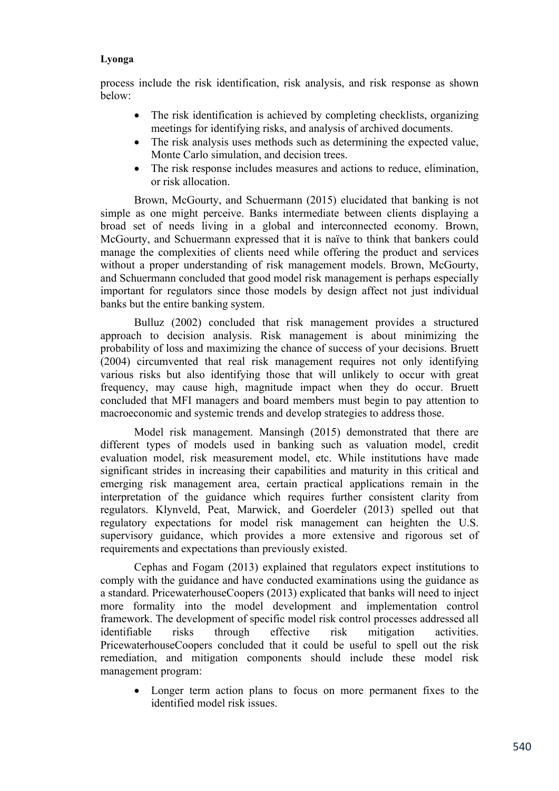process include the risk identification, risk analysis, and risk response as shown below:

- The risk identification is achieved by completing checklists, organizing meetings for identifying risks, and analysis of archived documents.
- The risk analysis uses methods such as determining the expected value, Monte Carlo simulation, and decision trees.
- The risk response includes measures and actions to reduce, elimination, or risk allocation.

Brown, McGourty, and Schuermann (2015) elucidated that banking is not simple as one might perceive. Banks intermediate between clients displaying a broad set of needs living in a global and interconnected economy. Brown, McGourty, and Schuermann expressed that it is naïve to think that bankers could manage the complexities of clients need while offering the product and services without a proper understanding of risk management models. Brown, McGourty, and Schuermann concluded that good model risk management is perhaps especially important for regulators since those models by design affect not just individual banks but the entire banking system.

Bulluz (2002) concluded that risk management provides a structured approach to decision analysis. Risk management is about minimizing the probability of loss and maximizing the chance of success of your decisions. Bruett (2004) circumvented that real risk management requires not only identifying various risks but also identifying those that will unlikely to occur with great frequency, may cause high, magnitude impact when they do occur. Bruett concluded that MFI managers and board members must begin to pay attention to macroeconomic and systemic trends and develop strategies to address those.

Model risk management. Mansingh (2015) demonstrated that there are different types of models used in banking such as valuation model, credit evaluation model, risk measurement model, etc. While institutions have made significant strides in increasing their capabilities and maturity in this critical and emerging risk management area, certain practical applications remain in the interpretation of the guidance which requires further consistent clarity from regulators. Klynveld, Peat, Marwick, and Goerdeler (2013) spelled out that regulatory expectations for model risk management can heighten the U.S. supervisory guidance, which provides a more extensive and rigorous set of requirements and expectations than previously existed.

Cephas and Fogam (2013) explained that regulators expect institutions to comply with the guidance and have conducted examinations using the guidance as a standard. PricewaterhouseCoopers (2013) explicated that banks will need to inject more formality into the model development and implementation control framework. The development of specific model risk control processes addressed all identifiable risks through effective risk mitigation activities. PricewaterhouseCoopers concluded that it could be useful to spell out the risk remediation, and mitigation components should include these model risk management program:

 Longer term action plans to focus on more permanent fixes to the identified model risk issues.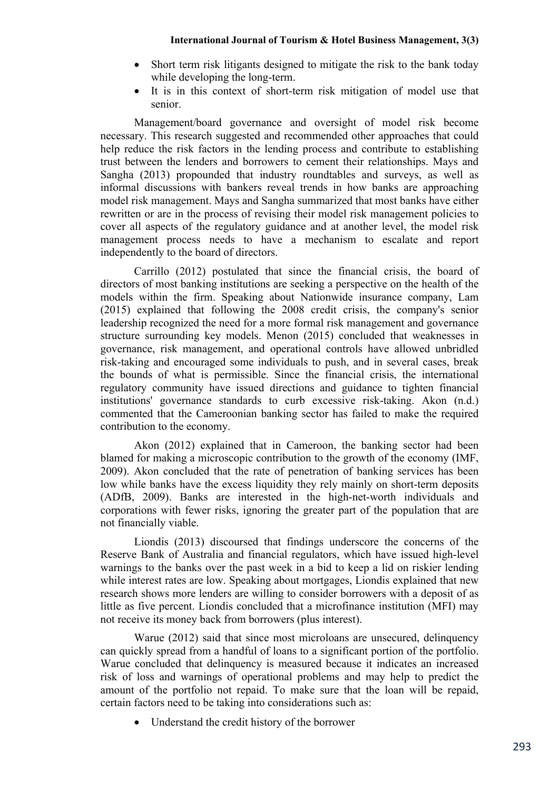- Short term risk litigants designed to mitigate the risk to the bank today while developing the long-term.
- It is in this context of short-term risk mitigation of model use that senior.

Management/board governance and oversight of model risk become necessary. This research suggested and recommended other approaches that could help reduce the risk factors in the lending process and contribute to establishing trust between the lenders and borrowers to cement their relationships. Mays and Sangha (2013) propounded that industry roundtables and surveys, as well as informal discussions with bankers reveal trends in how banks are approaching model risk management. Mays and Sangha summarized that most banks have either rewritten or are in the process of revising their model risk management policies to cover all aspects of the regulatory guidance and at another level, the model risk management process needs to have a mechanism to escalate and report independently to the board of directors.

Carrillo (2012) postulated that since the financial crisis, the board of directors of most banking institutions are seeking a perspective on the health of the models within the firm. Speaking about Nationwide insurance company, Lam (2015) explained that following the 2008 credit crisis, the company's senior leadership recognized the need for a more formal risk management and governance structure surrounding key models. Menon (2015) concluded that weaknesses in governance, risk management, and operational controls have allowed unbridled risk-taking and encouraged some individuals to push, and in several cases, break the bounds of what is permissible. Since the financial crisis, the international regulatory community have issued directions and guidance to tighten financial institutions' governance standards to curb excessive risk-taking. Akon (n.d.) commented that the Cameroonian banking sector has failed to make the required contribution to the economy.

Akon (2012) explained that in Cameroon, the banking sector had been blamed for making a microscopic contribution to the growth of the economy (IMF, 2009). Akon concluded that the rate of penetration of banking services has been low while banks have the excess liquidity they rely mainly on short-term deposits (ADfB, 2009). Banks are interested in the high-net-worth individuals and corporations with fewer risks, ignoring the greater part of the population that are not financially viable.

Liondis (2013) discoursed that findings underscore the concerns of the Reserve Bank of Australia and financial regulators, which have issued high-level warnings to the banks over the past week in a bid to keep a lid on riskier lending while interest rates are low. Speaking about mortgages, Liondis explained that new research shows more lenders are willing to consider borrowers with a deposit of as little as five percent. Liondis concluded that a microfinance institution (MFI) may not receive its money back from borrowers (plus interest).

Warue (2012) said that since most microloans are unsecured, delinquency can quickly spread from a handful of loans to a significant portion of the portfolio. Warue concluded that delinquency is measured because it indicates an increased risk of loss and warnings of operational problems and may help to predict the amount of the portfolio not repaid. To make sure that the loan will be repaid, certain factors need to be taking into considerations such as:

Understand the credit history of the borrower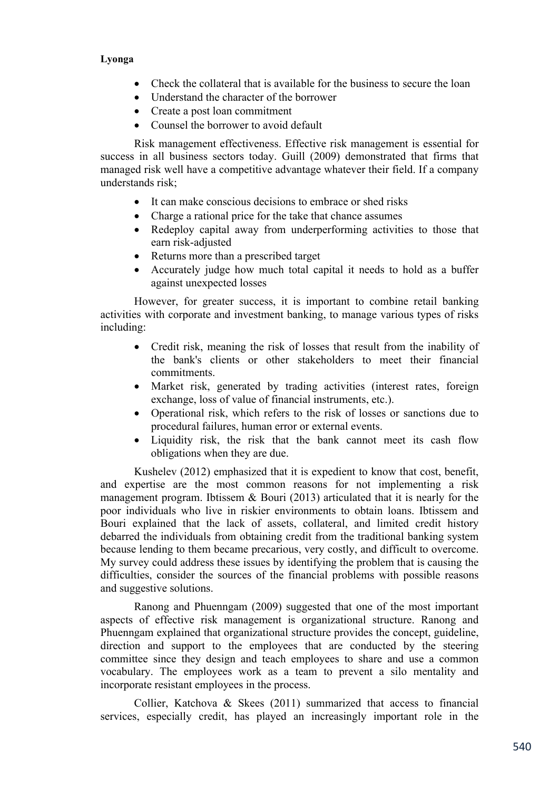- Check the collateral that is available for the business to secure the loan
- Understand the character of the borrower
- Create a post loan commitment
- Counsel the borrower to avoid default

Risk management effectiveness. Effective risk management is essential for success in all business sectors today. Guill (2009) demonstrated that firms that managed risk well have a competitive advantage whatever their field. If a company understands risk;

- It can make conscious decisions to embrace or shed risks
- Charge a rational price for the take that chance assumes
- Redeploy capital away from underperforming activities to those that earn risk-adjusted
- Returns more than a prescribed target
- Accurately judge how much total capital it needs to hold as a buffer against unexpected losses

However, for greater success, it is important to combine retail banking activities with corporate and investment banking, to manage various types of risks including:

- Credit risk, meaning the risk of losses that result from the inability of the bank's clients or other stakeholders to meet their financial commitments.
- Market risk, generated by trading activities (interest rates, foreign exchange, loss of value of financial instruments, etc.).
- Operational risk, which refers to the risk of losses or sanctions due to procedural failures, human error or external events.
- Liquidity risk, the risk that the bank cannot meet its cash flow obligations when they are due.

Kushelev (2012) emphasized that it is expedient to know that cost, benefit, and expertise are the most common reasons for not implementing a risk management program. Ibtissem & Bouri (2013) articulated that it is nearly for the poor individuals who live in riskier environments to obtain loans. Ibtissem and Bouri explained that the lack of assets, collateral, and limited credit history debarred the individuals from obtaining credit from the traditional banking system because lending to them became precarious, very costly, and difficult to overcome. My survey could address these issues by identifying the problem that is causing the difficulties, consider the sources of the financial problems with possible reasons and suggestive solutions.

Ranong and Phuenngam (2009) suggested that one of the most important aspects of effective risk management is organizational structure. Ranong and Phuenngam explained that organizational structure provides the concept, guideline, direction and support to the employees that are conducted by the steering committee since they design and teach employees to share and use a common vocabulary. The employees work as a team to prevent a silo mentality and incorporate resistant employees in the process.

Collier, Katchova & Skees (2011) summarized that access to financial services, especially credit, has played an increasingly important role in the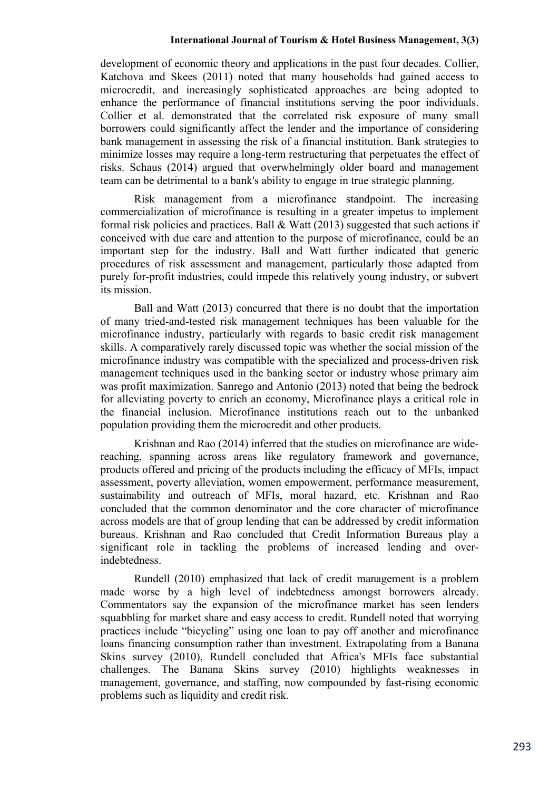development of economic theory and applications in the past four decades. Collier, Katchova and Skees (2011) noted that many households had gained access to microcredit, and increasingly sophisticated approaches are being adopted to enhance the performance of financial institutions serving the poor individuals. Collier et al. demonstrated that the correlated risk exposure of many small borrowers could significantly affect the lender and the importance of considering bank management in assessing the risk of a financial institution. Bank strategies to minimize losses may require a long-term restructuring that perpetuates the effect of risks. Schaus (2014) argued that overwhelmingly older board and management team can be detrimental to a bank's ability to engage in true strategic planning.

Risk management from a microfinance standpoint. The increasing commercialization of microfinance is resulting in a greater impetus to implement formal risk policies and practices. Ball & Watt (2013) suggested that such actions if conceived with due care and attention to the purpose of microfinance, could be an important step for the industry. Ball and Watt further indicated that generic procedures of risk assessment and management, particularly those adapted from purely for-profit industries, could impede this relatively young industry, or subvert its mission.

Ball and Watt (2013) concurred that there is no doubt that the importation of many tried-and-tested risk management techniques has been valuable for the microfinance industry, particularly with regards to basic credit risk management skills. A comparatively rarely discussed topic was whether the social mission of the microfinance industry was compatible with the specialized and process-driven risk management techniques used in the banking sector or industry whose primary aim was profit maximization. Sanrego and Antonio (2013) noted that being the bedrock for alleviating poverty to enrich an economy, Microfinance plays a critical role in the financial inclusion. Microfinance institutions reach out to the unbanked population providing them the microcredit and other products.

Krishnan and Rao (2014) inferred that the studies on microfinance are widereaching, spanning across areas like regulatory framework and governance, products offered and pricing of the products including the efficacy of MFIs, impact assessment, poverty alleviation, women empowerment, performance measurement, sustainability and outreach of MFIs, moral hazard, etc. Krishnan and Rao concluded that the common denominator and the core character of microfinance across models are that of group lending that can be addressed by credit information bureaus. Krishnan and Rao concluded that Credit Information Bureaus play a significant role in tackling the problems of increased lending and overindebtedness.

Rundell (2010) emphasized that lack of credit management is a problem made worse by a high level of indebtedness amongst borrowers already. Commentators say the expansion of the microfinance market has seen lenders squabbling for market share and easy access to credit. Rundell noted that worrying practices include "bicycling" using one loan to pay off another and microfinance loans financing consumption rather than investment. Extrapolating from a Banana Skins survey (2010), Rundell concluded that Africa's MFIs face substantial challenges. The Banana Skins survey (2010) highlights weaknesses in management, governance, and staffing, now compounded by fast-rising economic problems such as liquidity and credit risk.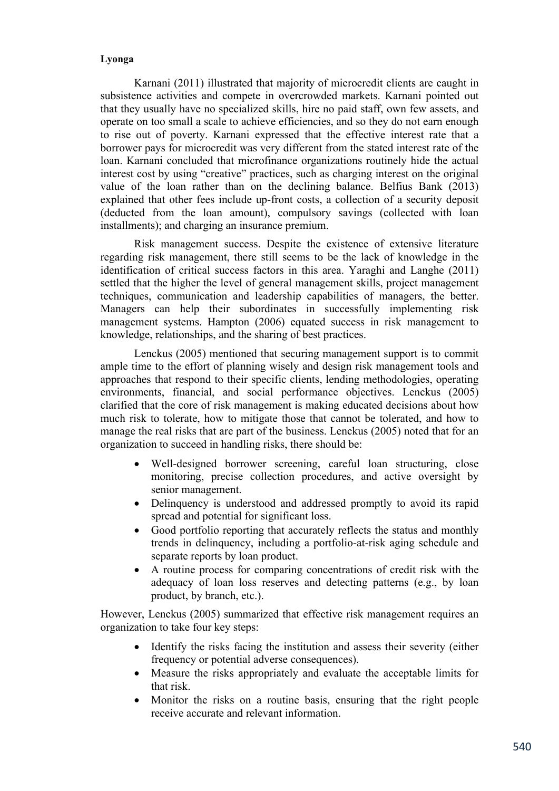Karnani (2011) illustrated that majority of microcredit clients are caught in subsistence activities and compete in overcrowded markets. Karnani pointed out that they usually have no specialized skills, hire no paid staff, own few assets, and operate on too small a scale to achieve efficiencies, and so they do not earn enough to rise out of poverty. Karnani expressed that the effective interest rate that a borrower pays for microcredit was very different from the stated interest rate of the loan. Karnani concluded that microfinance organizations routinely hide the actual interest cost by using "creative" practices, such as charging interest on the original value of the loan rather than on the declining balance. Belfius Bank (2013) explained that other fees include up-front costs, a collection of a security deposit (deducted from the loan amount), compulsory savings (collected with loan installments); and charging an insurance premium.

Risk management success. Despite the existence of extensive literature regarding risk management, there still seems to be the lack of knowledge in the identification of critical success factors in this area. Yaraghi and Langhe (2011) settled that the higher the level of general management skills, project management techniques, communication and leadership capabilities of managers, the better. Managers can help their subordinates in successfully implementing risk management systems. Hampton (2006) equated success in risk management to knowledge, relationships, and the sharing of best practices.

Lenckus (2005) mentioned that securing management support is to commit ample time to the effort of planning wisely and design risk management tools and approaches that respond to their specific clients, lending methodologies, operating environments, financial, and social performance objectives. Lenckus (2005) clarified that the core of risk management is making educated decisions about how much risk to tolerate, how to mitigate those that cannot be tolerated, and how to manage the real risks that are part of the business. Lenckus (2005) noted that for an organization to succeed in handling risks, there should be:

- Well-designed borrower screening, careful loan structuring, close monitoring, precise collection procedures, and active oversight by senior management.
- Delinquency is understood and addressed promptly to avoid its rapid spread and potential for significant loss.
- Good portfolio reporting that accurately reflects the status and monthly trends in delinquency, including a portfolio-at-risk aging schedule and separate reports by loan product.
- A routine process for comparing concentrations of credit risk with the adequacy of loan loss reserves and detecting patterns (e.g., by loan product, by branch, etc.).

However, Lenckus (2005) summarized that effective risk management requires an organization to take four key steps:

- Identify the risks facing the institution and assess their severity (either frequency or potential adverse consequences).
- Measure the risks appropriately and evaluate the acceptable limits for that risk.
- Monitor the risks on a routine basis, ensuring that the right people receive accurate and relevant information.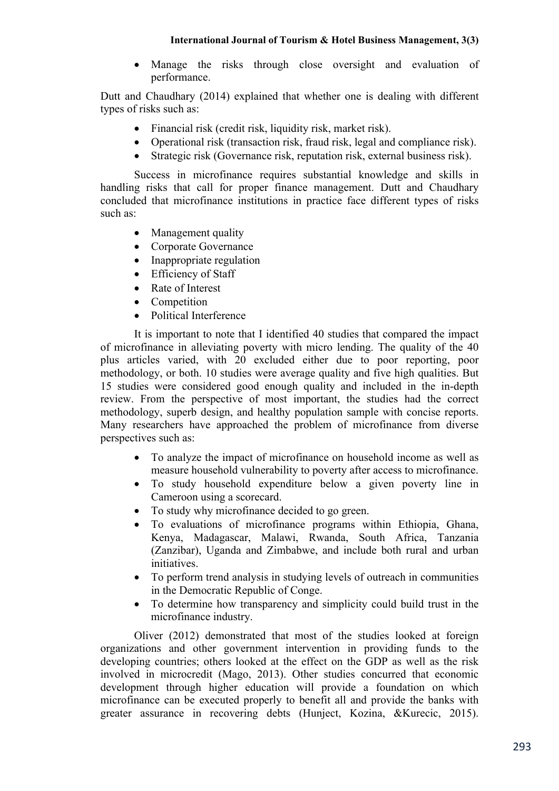Manage the risks through close oversight and evaluation of performance.

Dutt and Chaudhary (2014) explained that whether one is dealing with different types of risks such as:

- Financial risk (credit risk, liquidity risk, market risk).
- Operational risk (transaction risk, fraud risk, legal and compliance risk).
- Strategic risk (Governance risk, reputation risk, external business risk).

Success in microfinance requires substantial knowledge and skills in handling risks that call for proper finance management. Dutt and Chaudhary concluded that microfinance institutions in practice face different types of risks such as:

- Management quality
- Corporate Governance
- Inappropriate regulation
- Efficiency of Staff
- Rate of Interest
- Competition
- Political Interference

It is important to note that I identified 40 studies that compared the impact of microfinance in alleviating poverty with micro lending. The quality of the 40 plus articles varied, with 20 excluded either due to poor reporting, poor methodology, or both. 10 studies were average quality and five high qualities. But 15 studies were considered good enough quality and included in the in-depth review. From the perspective of most important, the studies had the correct methodology, superb design, and healthy population sample with concise reports. Many researchers have approached the problem of microfinance from diverse perspectives such as:

- To analyze the impact of microfinance on household income as well as measure household vulnerability to poverty after access to microfinance.
- To study household expenditure below a given poverty line in Cameroon using a scorecard.
- To study why microfinance decided to go green.
- To evaluations of microfinance programs within Ethiopia, Ghana, Kenya, Madagascar, Malawi, Rwanda, South Africa, Tanzania (Zanzibar), Uganda and Zimbabwe, and include both rural and urban initiatives.
- To perform trend analysis in studying levels of outreach in communities in the Democratic Republic of Conge.
- To determine how transparency and simplicity could build trust in the microfinance industry.

Oliver (2012) demonstrated that most of the studies looked at foreign organizations and other government intervention in providing funds to the developing countries; others looked at the effect on the GDP as well as the risk involved in microcredit (Mago, 2013). Other studies concurred that economic development through higher education will provide a foundation on which microfinance can be executed properly to benefit all and provide the banks with greater assurance in recovering debts (Hunject, Kozina, &Kurecic, 2015).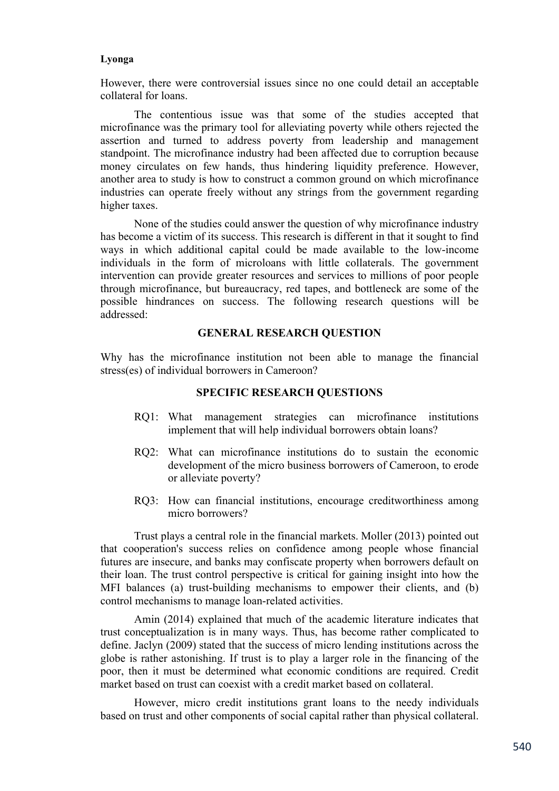However, there were controversial issues since no one could detail an acceptable collateral for loans.

The contentious issue was that some of the studies accepted that microfinance was the primary tool for alleviating poverty while others rejected the assertion and turned to address poverty from leadership and management standpoint. The microfinance industry had been affected due to corruption because money circulates on few hands, thus hindering liquidity preference. However, another area to study is how to construct a common ground on which microfinance industries can operate freely without any strings from the government regarding higher taxes.

None of the studies could answer the question of why microfinance industry has become a victim of its success. This research is different in that it sought to find ways in which additional capital could be made available to the low-income individuals in the form of microloans with little collaterals. The government intervention can provide greater resources and services to millions of poor people through microfinance, but bureaucracy, red tapes, and bottleneck are some of the possible hindrances on success. The following research questions will be addressed:

### **GENERAL RESEARCH QUESTION**

Why has the microfinance institution not been able to manage the financial stress(es) of individual borrowers in Cameroon?

#### **SPECIFIC RESEARCH QUESTIONS**

- RQ1: What management strategies can microfinance institutions implement that will help individual borrowers obtain loans?
- RQ2: What can microfinance institutions do to sustain the economic development of the micro business borrowers of Cameroon, to erode or alleviate poverty?
- RQ3: How can financial institutions, encourage creditworthiness among micro borrowers?

Trust plays a central role in the financial markets. Moller (2013) pointed out that cooperation's success relies on confidence among people whose financial futures are insecure, and banks may confiscate property when borrowers default on their loan. The trust control perspective is critical for gaining insight into how the MFI balances (a) trust-building mechanisms to empower their clients, and (b) control mechanisms to manage loan-related activities.

Amin (2014) explained that much of the academic literature indicates that trust conceptualization is in many ways. Thus, has become rather complicated to define. Jaclyn (2009) stated that the success of micro lending institutions across the globe is rather astonishing. If trust is to play a larger role in the financing of the poor, then it must be determined what economic conditions are required. Credit market based on trust can coexist with a credit market based on collateral.

However, micro credit institutions grant loans to the needy individuals based on trust and other components of social capital rather than physical collateral.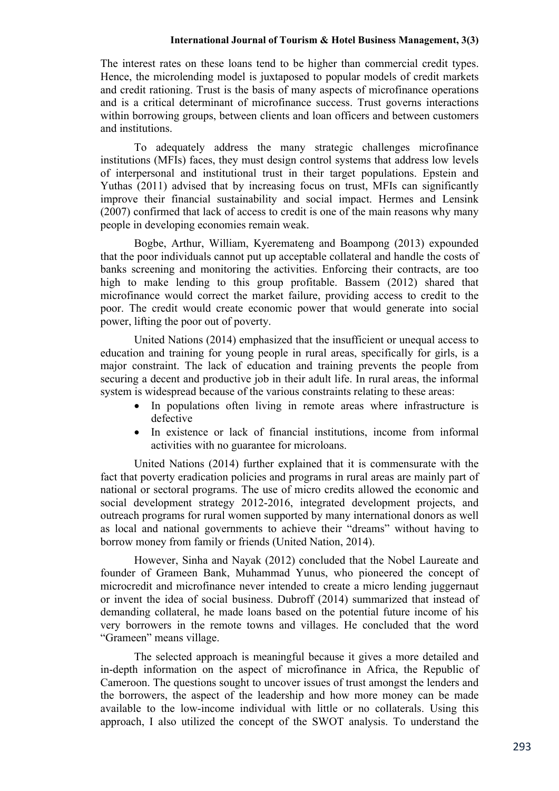The interest rates on these loans tend to be higher than commercial credit types. Hence, the microlending model is juxtaposed to popular models of credit markets and credit rationing. Trust is the basis of many aspects of microfinance operations and is a critical determinant of microfinance success. Trust governs interactions within borrowing groups, between clients and loan officers and between customers and institutions.

To adequately address the many strategic challenges microfinance institutions (MFIs) faces, they must design control systems that address low levels of interpersonal and institutional trust in their target populations. Epstein and Yuthas (2011) advised that by increasing focus on trust, MFIs can significantly improve their financial sustainability and social impact. Hermes and Lensink (2007) confirmed that lack of access to credit is one of the main reasons why many people in developing economies remain weak.

Bogbe, Arthur, William, Kyeremateng and Boampong (2013) expounded that the poor individuals cannot put up acceptable collateral and handle the costs of banks screening and monitoring the activities. Enforcing their contracts, are too high to make lending to this group profitable. Bassem (2012) shared that microfinance would correct the market failure, providing access to credit to the poor. The credit would create economic power that would generate into social power, lifting the poor out of poverty.

United Nations (2014) emphasized that the insufficient or unequal access to education and training for young people in rural areas, specifically for girls, is a major constraint. The lack of education and training prevents the people from securing a decent and productive job in their adult life. In rural areas, the informal system is widespread because of the various constraints relating to these areas:

- In populations often living in remote areas where infrastructure is defective
- In existence or lack of financial institutions, income from informal activities with no guarantee for microloans.

United Nations (2014) further explained that it is commensurate with the fact that poverty eradication policies and programs in rural areas are mainly part of national or sectoral programs. The use of micro credits allowed the economic and social development strategy 2012-2016, integrated development projects, and outreach programs for rural women supported by many international donors as well as local and national governments to achieve their "dreams" without having to borrow money from family or friends (United Nation, 2014).

However, Sinha and Nayak (2012) concluded that the Nobel Laureate and founder of Grameen Bank, Muhammad Yunus, who pioneered the concept of microcredit and microfinance never intended to create a micro lending juggernaut or invent the idea of social business. Dubroff (2014) summarized that instead of demanding collateral, he made loans based on the potential future income of his very borrowers in the remote towns and villages. He concluded that the word "Grameen" means village.

The selected approach is meaningful because it gives a more detailed and in-depth information on the aspect of microfinance in Africa, the Republic of Cameroon. The questions sought to uncover issues of trust amongst the lenders and the borrowers, the aspect of the leadership and how more money can be made available to the low-income individual with little or no collaterals. Using this approach, I also utilized the concept of the SWOT analysis. To understand the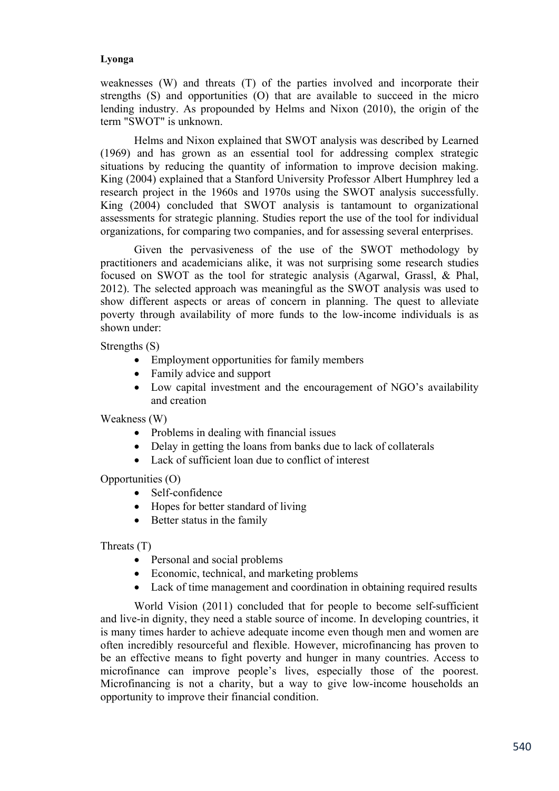weaknesses (W) and threats (T) of the parties involved and incorporate their strengths (S) and opportunities (O) that are available to succeed in the micro lending industry. As propounded by Helms and Nixon (2010), the origin of the term "SWOT" is unknown.

Helms and Nixon explained that SWOT analysis was described by Learned (1969) and has grown as an essential tool for addressing complex strategic situations by reducing the quantity of information to improve decision making. King (2004) explained that a Stanford University Professor Albert Humphrey led a research project in the 1960s and 1970s using the SWOT analysis successfully. King (2004) concluded that SWOT analysis is tantamount to organizational assessments for strategic planning. Studies report the use of the tool for individual organizations, for comparing two companies, and for assessing several enterprises.

Given the pervasiveness of the use of the SWOT methodology by practitioners and academicians alike, it was not surprising some research studies focused on SWOT as the tool for strategic analysis (Agarwal, Grassl, & Phal, 2012). The selected approach was meaningful as the SWOT analysis was used to show different aspects or areas of concern in planning. The quest to alleviate poverty through availability of more funds to the low-income individuals is as shown under:

Strengths (S)

- Employment opportunities for family members
- Family advice and support
- Low capital investment and the encouragement of NGO's availability and creation

Weakness (W)

- Problems in dealing with financial issues
- Delay in getting the loans from banks due to lack of collaterals
- Lack of sufficient loan due to conflict of interest

Opportunities (O)

- Self-confidence
- Hopes for better standard of living
- Better status in the family

Threats (T)

- Personal and social problems
- Economic, technical, and marketing problems
- Lack of time management and coordination in obtaining required results

World Vision (2011) concluded that for people to become self-sufficient and live-in dignity, they need a stable source of income. In developing countries, it is many times harder to achieve adequate income even though men and women are often incredibly resourceful and flexible. However, microfinancing has proven to be an effective means to fight poverty and hunger in many countries. Access to microfinance can improve people's lives, especially those of the poorest. Microfinancing is not a charity, but a way to give low-income households an opportunity to improve their financial condition.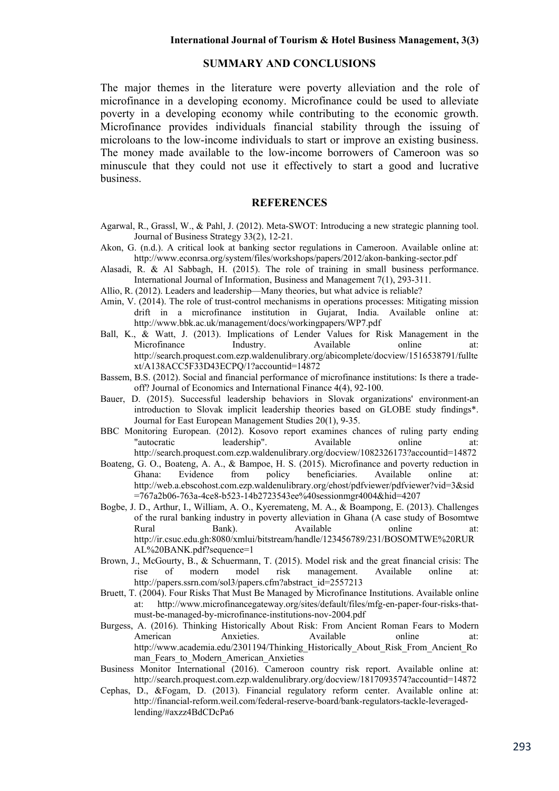# **SUMMARY AND CONCLUSIONS**

The major themes in the literature were poverty alleviation and the role of microfinance in a developing economy. Microfinance could be used to alleviate poverty in a developing economy while contributing to the economic growth. Microfinance provides individuals financial stability through the issuing of microloans to the low-income individuals to start or improve an existing business. The money made available to the low-income borrowers of Cameroon was so minuscule that they could not use it effectively to start a good and lucrative business.

### **REFERENCES**

- Agarwal, R., Grassl, W., & Pahl, J. (2012). Meta-SWOT: Introducing a new strategic planning tool. Journal of Business Strategy 33(2), 12-21.
- Akon, G. (n.d.). A critical look at banking sector regulations in Cameroon. Available online at: http://www.econrsa.org/system/files/workshops/papers/2012/akon-banking-sector.pdf
- Alasadi, R. & Al Sabbagh, H. (2015). The role of training in small business performance. International Journal of Information, Business and Management 7(1), 293-311.
- Allio, R. (2012). Leaders and leadership—Many theories, but what advice is reliable?
- Amin, V. (2014). The role of trust-control mechanisms in operations processes: Mitigating mission drift in a microfinance institution in Gujarat, India. Available online at: http://www.bbk.ac.uk/management/docs/workingpapers/WP7.pdf
- Ball, K., & Watt, J. (2013). Implications of Lender Values for Risk Management in the Microfinance Industry. Available online at: http://search.proquest.com.ezp.waldenulibrary.org/abicomplete/docview/1516538791/fullte xt/A138ACC5F33D43ECPQ/1?accountid=14872
- Bassem, B.S. (2012). Social and financial performance of microfinance institutions: Is there a tradeoff? Journal of Economics and International Finance 4(4), 92-100.
- Bauer, D. (2015). Successful leadership behaviors in Slovak organizations' environment-an introduction to Slovak implicit leadership theories based on GLOBE study findings\*. Journal for East European Management Studies 20(1), 9-35.
- BBC Monitoring European. (2012). Kosovo report examines chances of ruling party ending "autocratic leadership". Available online at: http://search.proquest.com.ezp.waldenulibrary.org/docview/1082326173?accountid=14872
- Boateng, G. O., Boateng, A. A., & Bampoe, H. S. (2015). Microfinance and poverty reduction in Ghana: Evidence from policy beneficiaries. Available online at: http://web.a.ebscohost.com.ezp.waldenulibrary.org/ehost/pdfviewer/pdfviewer?vid=3&sid =767a2b06-763a-4ce8-b523-14b2723543ee%40sessionmgr4004&hid=4207
- Bogbe, J. D., Arthur, I., William, A. O., Kyeremateng, M. A., & Boampong, E. (2013). Challenges of the rural banking industry in poverty alleviation in Ghana (A case study of Bosomtwe Rural Bank). Available online at: http://ir.csuc.edu.gh:8080/xmlui/bitstream/handle/123456789/231/BOSOMTWE%20RUR AL%20BANK.pdf?sequence=1
- Brown, J., McGourty, B., & Schuermann, T. (2015). Model risk and the great financial crisis: The rise of modern model risk management. Available online at: http://papers.ssrn.com/sol3/papers.cfm?abstract\_id=2557213
- Bruett, T. (2004). Four Risks That Must Be Managed by Microfinance Institutions. Available online at: http://www.microfinancegateway.org/sites/default/files/mfg-en-paper-four-risks-thatmust-be-managed-by-microfinance-institutions-nov-2004.pdf
- Burgess, A. (2016). Thinking Historically About Risk: From Ancient Roman Fears to Modern American Anxieties. Available online at: http://www.academia.edu/2301194/Thinking\_Historically\_About\_Risk\_From\_Ancient\_Ro man Fears to Modern American Anxieties
- Business Monitor International (2016). Cameroon country risk report. Available online at: http://search.proquest.com.ezp.waldenulibrary.org/docview/1817093574?accountid=14872
- Cephas, D., &Fogam, D. (2013). Financial regulatory reform center. Available online at: http://financial-reform.weil.com/federal-reserve-board/bank-regulators-tackle-leveragedlending/#axzz4BdCDcPa6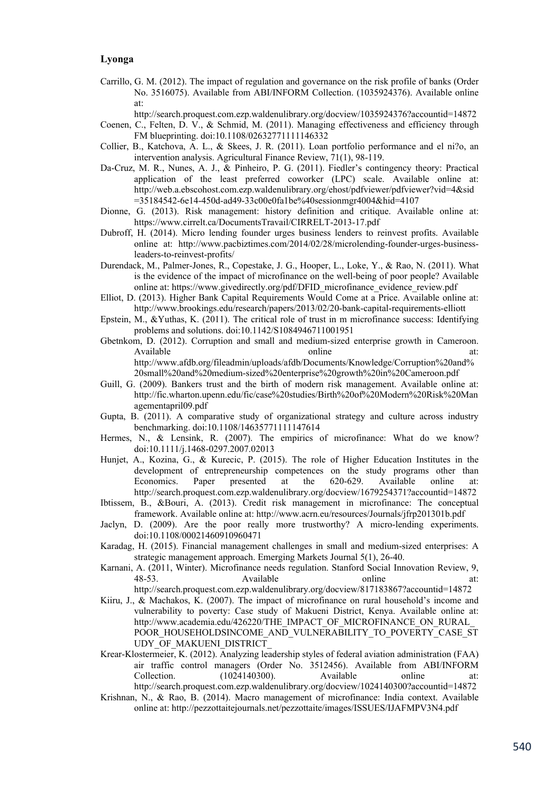- Carrillo, G. M. (2012). The impact of regulation and governance on the risk profile of banks (Order No. 3516075). Available from ABI/INFORM Collection. (1035924376). Available online at:
	- http://search.proquest.com.ezp.waldenulibrary.org/docview/1035924376?accountid=14872
- Coenen, C., Felten, D. V., & Schmid, M. (2011). Managing effectiveness and efficiency through FM blueprinting. doi:10.1108/02632771111146332
- Collier, B., Katchova, A. L., & Skees, J. R. (2011). Loan portfolio performance and el ni?o, an intervention analysis. Agricultural Finance Review, 71(1), 98-119.
- Da-Cruz, M. R., Nunes, A. J., & Pinheiro, P. G. (2011). Fiedler's contingency theory: Practical application of the least preferred coworker (LPC) scale. Available online at: http://web.a.ebscohost.com.ezp.waldenulibrary.org/ehost/pdfviewer/pdfviewer?vid=4&sid =35184542-6e14-450d-ad49-33c00e0fa1be%40sessionmgr4004&hid=4107
- Dionne, G. (2013). Risk management: history definition and critique. Available online at: https://www.cirrelt.ca/DocumentsTravail/CIRRELT-2013-17.pdf
- Dubroff, H. (2014). Micro lending founder urges business lenders to reinvest profits. Available online at: http://www.pacbiztimes.com/2014/02/28/microlending-founder-urges-businessleaders-to-reinvest-profits/
- Durendack, M., Palmer-Jones, R., Copestake, J. G., Hooper, L., Loke, Y., & Rao, N. (2011). What is the evidence of the impact of microfinance on the well-being of poor people? Available online at: https://www.givedirectly.org/pdf/DFID\_microfinance\_evidence\_review.pdf
- Elliot, D. (2013). Higher Bank Capital Requirements Would Come at a Price. Available online at: http://www.brookings.edu/research/papers/2013/02/20-bank-capital-requirements-elliott
- Epstein, M., &Yuthas, K. (2011). The critical role of trust in m microfinance success: Identifying problems and solutions. doi:10.1142/S1084946711001951
- Gbetnkom, D. (2012). Corruption and small and medium-sized enterprise growth in Cameroon. Available online at: http://www.afdb.org/fileadmin/uploads/afdb/Documents/Knowledge/Corruption%20and% 20small%20and%20medium-sized%20enterprise%20growth%20in%20Cameroon.pdf
- Guill, G. (2009). Bankers trust and the birth of modern risk management. Available online at: http://fic.wharton.upenn.edu/fic/case%20studies/Birth%20of%20Modern%20Risk%20Man agementapril09.pdf
- Gupta, B. (2011). A comparative study of organizational strategy and culture across industry benchmarking. doi:10.1108/14635771111147614
- Hermes, N., & Lensink, R. (2007). The empirics of microfinance: What do we know? doi:10.1111/j.1468-0297.2007.02013
- Hunjet, A., Kozina, G., & Kurecic, P. (2015). The role of Higher Education Institutes in the development of entrepreneurship competences on the study programs other than Economics. Paper presented at the 620-629. Available online at: http://search.proquest.com.ezp.waldenulibrary.org/docview/1679254371?accountid=14872
- Ibtissem, B., &Bouri, A. (2013). Credit risk management in microfinance: The conceptual framework. Available online at: http://www.acrn.eu/resources/Journals/jfrp201301b.pdf
- Jaclyn, D. (2009). Are the poor really more trustworthy? A micro-lending experiments. doi:10.1108/00021460910960471
- Karadag, H. (2015). Financial management challenges in small and medium-sized enterprises: A strategic management approach. Emerging Markets Journal 5(1), 26-40.
- Karnani, A. (2011, Winter). Microfinance needs regulation. Stanford Social Innovation Review, 9, 48-53. Available online at: http://search.proquest.com.ezp.waldenulibrary.org/docview/817183867?accountid=14872
- Kiiru, J., & Machakos, K. (2007). The impact of microfinance on rural household's income and vulnerability to poverty: Case study of Makueni District, Kenya. Available online at: http://www.academia.edu/426220/THE\_IMPACT\_OF\_MICROFINANCE\_ON\_RURAL POOR HOUSEHOLDSINCOME AND VULNERABILITY TO POVERTY CASE ST UDY OF MAKUENI DISTRICT
- Krear-Klostermeier, K. (2012). Analyzing leadership styles of federal aviation administration (FAA) air traffic control managers (Order No. 3512456). Available from ABI/INFORM Collection. (1024140300). Available online at: Collection. (1024140300). Available online at: http://search.proquest.com.ezp.waldenulibrary.org/docview/1024140300?accountid=14872
- Krishnan, N., & Rao, B. (2014). Macro management of microfinance: India context. Available online at: http://pezzottaitejournals.net/pezzottaite/images/ISSUES/IJAFMPV3N4.pdf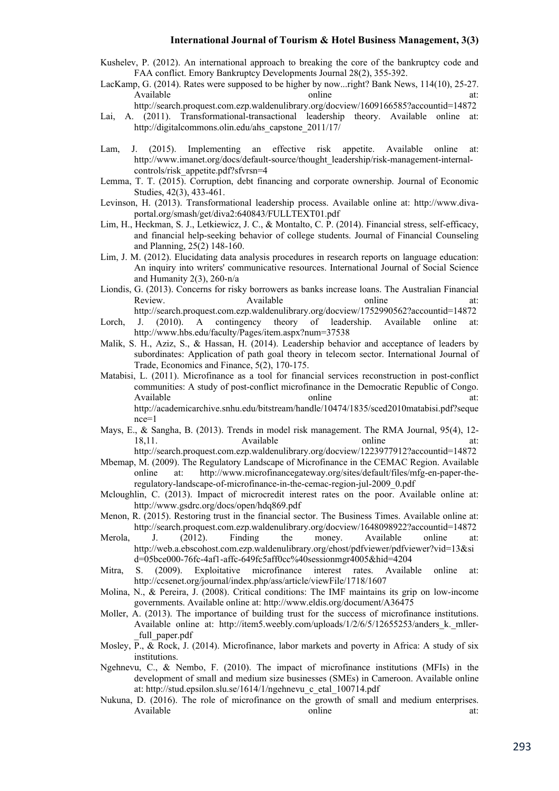Kushelev, P. (2012). An international approach to breaking the core of the bankruptcy code and FAA conflict. Emory Bankruptcy Developments Journal 28(2), 355-392.

LacKamp, G. (2014). Rates were supposed to be higher by now...right? Bank News, 114(10), 25-27. Available online at:

http://search.proquest.com.ezp.waldenulibrary.org/docview/1609166585?accountid=14872

- Lai, A. (2011). Transformational-transactional leadership theory. Available online at: http://digitalcommons.olin.edu/ahs\_capstone\_2011/17/
- Lam, J. (2015). Implementing an effective risk appetite. Available online at: http://www.imanet.org/docs/default-source/thought\_leadership/risk-management-internalcontrols/risk\_appetite.pdf?sfvrsn=4
- Lemma, T. T. (2015). Corruption, debt financing and corporate ownership. Journal of Economic Studies, 42(3), 433-461.
- Levinson, H. (2013). Transformational leadership process. Available online at: http://www.divaportal.org/smash/get/diva2:640843/FULLTEXT01.pdf
- Lim, H., Heckman, S. J., Letkiewicz, J. C., & Montalto, C. P. (2014). Financial stress, self-efficacy, and financial help-seeking behavior of college students. Journal of Financial Counseling and Planning, 25(2) 148-160.
- Lim, J. M. (2012). Elucidating data analysis procedures in research reports on language education: An inquiry into writers' communicative resources. International Journal of Social Science and Humanity 2(3), 260-n/a
- Liondis, G. (2013). Concerns for risky borrowers as banks increase loans. The Australian Financial Review. Available have at: Available at: http://search.proquest.com.ezp.waldenulibrary.org/docview/1752990562?accountid=14872
- Lorch, J. (2010). A contingency theory of leadership. Available online at: http://www.hbs.edu/faculty/Pages/item.aspx?num=37538
- Malik, S. H., Aziz, S., & Hassan, H. (2014). Leadership behavior and acceptance of leaders by subordinates: Application of path goal theory in telecom sector. International Journal of Trade, Economics and Finance, 5(2), 170-175.
- Matabisi, L. (2011). Microfinance as a tool for financial services reconstruction in post-conflict communities: A study of post-conflict microfinance in the Democratic Republic of Congo. Available online at: http://academicarchive.snhu.edu/bitstream/handle/10474/1835/sced2010matabisi.pdf?seque nce=1
- Mays, E., & Sangha, B. (2013). Trends in model risk management. The RMA Journal, 95(4), 12- 18,11. Available **a** Available **a** Available **a** Available **a** Available **a** Available **a** Available **a** Available **a** Available **a** Available **a** Available **a** Available **a** Available **a** Available **a** Available **a** Avail

http://search.proquest.com.ezp.waldenulibrary.org/docview/1223977912?accountid=14872

- Mbemap, M. (2009). The Regulatory Landscape of Microfinance in the CEMAC Region. Available online at: http://www.microfinancegateway.org/sites/default/files/mfg-en-paper-theregulatory-landscape-of-microfinance-in-the-cemac-region-jul-2009\_0.pdf
- Mcloughlin, C. (2013). Impact of microcredit interest rates on the poor. Available online at: http://www.gsdrc.org/docs/open/hdq869.pdf
- Menon, R. (2015). Restoring trust in the financial sector. The Business Times. Available online at: http://search.proquest.com.ezp.waldenulibrary.org/docview/1648098922?accountid=14872
- Merola, J. (2012). Finding the money. Available online at: http://web.a.ebscohost.com.ezp.waldenulibrary.org/ehost/pdfviewer/pdfviewer?vid=13&si d=05bce000-76fc-4af1-affc-649fc5aff0cc%40sessionmgr4005&hid=4204
- Mitra, S. (2009). Exploitative microfinance interest rates. Available online at: http://ccsenet.org/journal/index.php/ass/article/viewFile/1718/1607
- Molina, N., & Pereira, J. (2008). Critical conditions: The IMF maintains its grip on low-income governments. Available online at: http://www.eldis.org/document/A36475
- Moller, A. (2013). The importance of building trust for the success of microfinance institutions. Available online at: http://item5.weebly.com/uploads/1/2/6/5/12655253/anders k. mller-\_full\_paper.pdf
- Mosley, P., & Rock, J. (2014). Microfinance, labor markets and poverty in Africa: A study of six institutions.
- Ngehnevu, C., & Nembo, F. (2010). The impact of microfinance institutions (MFIs) in the development of small and medium size businesses (SMEs) in Cameroon. Available online at: http://stud.epsilon.slu.se/1614/1/ngehnevu\_c\_etal\_100714.pdf
- Nukuna, D. (2016). The role of microfinance on the growth of small and medium enterprises. Available online at: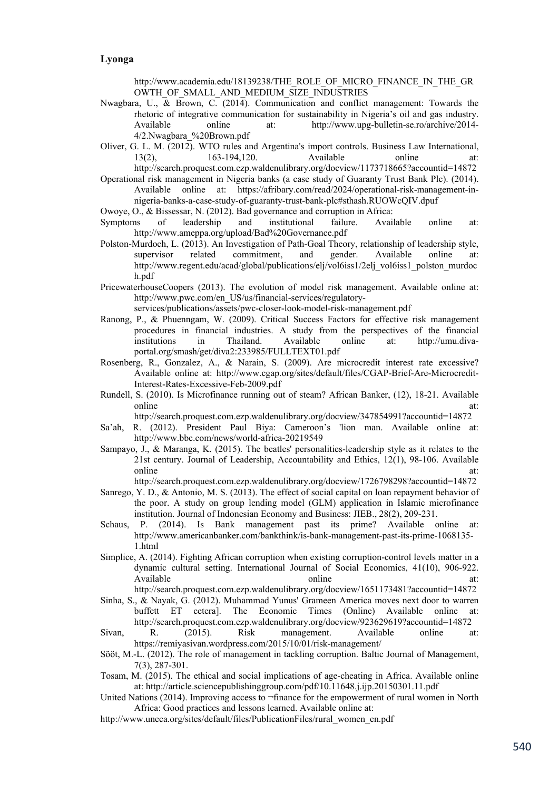http://www.academia.edu/18139238/THE\_ROLE\_OF\_MICRO\_FINANCE\_IN\_THE\_GR OWTH\_OF\_SMALL\_AND\_MEDIUM\_SIZE\_INDUSTRIES

- Nwagbara, U., & Brown, C. (2014). Communication and conflict management: Towards the rhetoric of integrative communication for sustainability in Nigeria's oil and gas industry. Available online at: http://www.upg-bulletin-se.ro/archive/2014- 4/2.Nwagbara\_%20Brown.pdf
- Oliver, G. L. M. (2012). WTO rules and Argentina's import controls. Business Law International, 13(2), 163-194,120. Available online at: http://search.proquest.com.ezp.waldenulibrary.org/docview/1173718665?accountid=14872
- Operational risk management in Nigeria banks (a case study of Guaranty Trust Bank Plc). (2014). Available online at: https://afribary.com/read/2024/operational-risk-management-innigeria-banks-a-case-study-of-guaranty-trust-bank-plc#sthash.RUOWcQIV.dpuf

Owoye, O., & Bissessar, N. (2012). Bad governance and corruption in Africa:

- Symptoms of leadership and institutional failure. Available online at: http://www.ameppa.org/upload/Bad%20Governance.pdf
- Polston-Murdoch, L. (2013). An Investigation of Path-Goal Theory, relationship of leadership style, supervisor related commitment, and gender. Available online at: http://www.regent.edu/acad/global/publications/elj/vol6iss1/2elj\_vol6iss1\_polston\_murdoc h.pdf
- PricewaterhouseCoopers (2013). The evolution of model risk management. Available online at: http://www.pwc.com/en\_US/us/financial-services/regulatory-

services/publications/assets/pwc-closer-look-model-risk-management.pdf

- Ranong, P., & Phuenngam, W. (2009). Critical Success Factors for effective risk management procedures in financial industries. A study from the perspectives of the financial institutions in Thailand. Available online at: http://umu.divaportal.org/smash/get/diva2:233985/FULLTEXT01.pdf
- Rosenberg, R., Gonzalez, A., & Narain, S. (2009). Are microcredit interest rate excessive? Available online at: http://www.cgap.org/sites/default/files/CGAP-Brief-Are-Microcredit-Interest-Rates-Excessive-Feb-2009.pdf
- Rundell, S. (2010). Is Microfinance running out of steam? African Banker, (12), 18-21. Available online at:

http://search.proquest.com.ezp.waldenulibrary.org/docview/347854991?accountid=14872

- Sa'ah, R. (2012). President Paul Biya: Cameroon's 'lion man. Available online at: http://www.bbc.com/news/world-africa-20219549
- Sampayo, J., & Maranga, K. (2015). The beatles' personalities-leadership style as it relates to the 21st century. Journal of Leadership, Accountability and Ethics, 12(1), 98-106. Available online at:

http://search.proquest.com.ezp.waldenulibrary.org/docview/1726798298?accountid=14872

- Sanrego, Y. D., & Antonio, M. S. (2013). The effect of social capital on loan repayment behavior of the poor. A study on group lending model (GLM) application in Islamic microfinance institution. Journal of Indonesian Economy and Business: JIEB., 28(2), 209-231.
- Schaus, P. (2014). Is Bank management past its prime? Available online at: http://www.americanbanker.com/bankthink/is-bank-management-past-its-prime-1068135- 1.html
- Simplice, A. (2014). Fighting African corruption when existing corruption-control levels matter in a dynamic cultural setting. International Journal of Social Economics, 41(10), 906-922. Available online at:

http://search.proquest.com.ezp.waldenulibrary.org/docview/1651173481?accountid=14872 Sinha, S., & Nayak, G. (2012). Muhammad Yunus' Grameen America moves next door to warren

buffett ET cetera]. The Economic Times (Online) Available online at: http://search.proquest.com.ezp.waldenulibrary.org/docview/923629619?accountid=14872 Sivan, R. (2015). Risk management. Available online at:

https://remiyasivan.wordpress.com/2015/10/01/risk-management/

- Sööt, M.-L. (2012). The role of management in tackling corruption. Baltic Journal of Management, 7(3), 287-301.
- Tosam, M. (2015). The ethical and social implications of age-cheating in Africa. Available online at: http://article.sciencepublishinggroup.com/pdf/10.11648.j.ijp.20150301.11.pdf
- United Nations (2014). Improving access to ¬finance for the empowerment of rural women in North Africa: Good practices and lessons learned. Available online at:

http://www.uneca.org/sites/default/files/PublicationFiles/rural\_women\_en.pdf